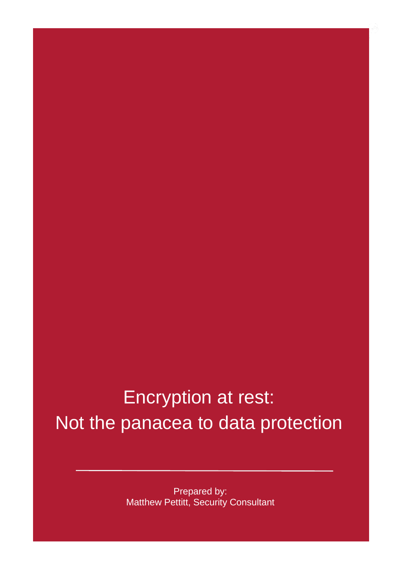### Encryption at rest: Not the panacea to data protection

Prepared by: Matthew Pettitt, Security Consultant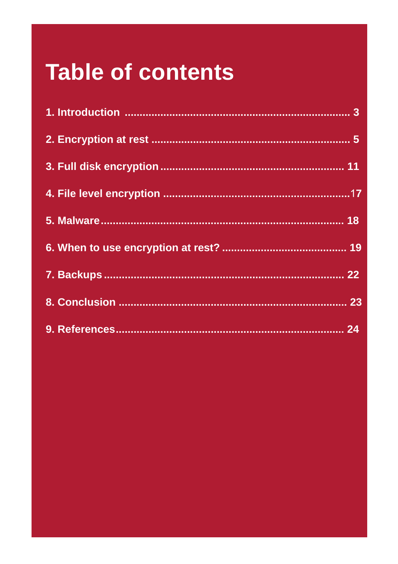## **Table of contents**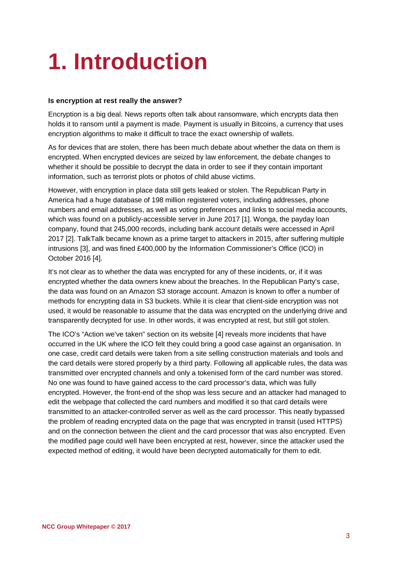## <span id="page-2-0"></span>**1. Introduction**

#### **Is encryption at rest really the answer?**

Encryption is a big deal. News reports often talk about ransomware, which encrypts data then holds it to ransom until a payment is made. Payment is usually in Bitcoins, a currency that uses encryption algorithms to make it difficult to trace the exact ownership of wallets.

As for devices that are stolen, there has been much debate about whether the data on them is encrypted. When encrypted devices are seized by law enforcement, the debate changes to whether it should be possible to decrypt the data in order to see if they contain important information, such as terrorist plots or photos of child abuse victims.

However, with encryption in place data still gets leaked or stolen. The Republican Party in America had a huge database of 198 million registered voters, including addresses, phone numbers and email addresses, as well as voting preferences and links to social media accounts, which was found on a publicly-accessible server in June 2017 [1]. Wonga, the payday loan company, found that 245,000 records, including bank account details were accessed in April 2017 [2]. TalkTalk became known as a prime target to attackers in 2015, after suffering multiple intrusions [3], and was fined £400,000 by the Information Commissioner's Office (ICO) in October 2016 [4].

It's not clear as to whether the data was encrypted for any of these incidents, or, if it was encrypted whether the data owners knew about the breaches. In the Republican Party's case, the data was found on an Amazon S3 storage account. Amazon is known to offer a number of methods for encrypting data in S3 buckets. While it is clear that client-side encryption was not used, it would be reasonable to assume that the data was encrypted on the underlying drive and transparently decrypted for use. In other words, it was encrypted at rest, but still got stolen.

The ICO's "Action we've taken" section on its website [4] reveals more incidents that have occurred in the UK where the ICO felt they could bring a good case against an organisation. In one case, credit card details were taken from a site selling construction materials and tools and the card details were stored properly by a third party. Following all applicable rules, the data was transmitted over encrypted channels and only a tokenised form of the card number was stored. No one was found to have gained access to the card processor's data, which was fully encrypted. However, the front-end of the shop was less secure and an attacker had managed to edit the webpage that collected the card numbers and modified it so that card details were transmitted to an attacker-controlled server as well as the card processor. This neatly bypassed the problem of reading encrypted data on the page that was encrypted in transit (used HTTPS) and on the connection between the client and the card processor that was also encrypted. Even the modified page could well have been encrypted at rest, however, since the attacker used the expected method of editing, it would have been decrypted automatically for them to edit.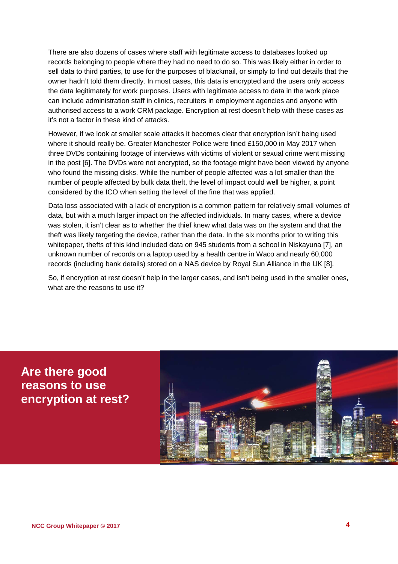There are also dozens of cases where staff with legitimate access to databases looked up records belonging to people where they had no need to do so. This was likely either in order to sell data to third parties, to use for the purposes of blackmail, or simply to find out details that the owner hadn't told them directly. In most cases, this data is encrypted and the users only access the data legitimately for work purposes. Users with legitimate access to data in the work place can include administration staff in clinics, recruiters in employment agencies and anyone with authorised access to a work CRM package. Encryption at rest doesn't help with these cases as it's not a factor in these kind of attacks.

However, if we look at smaller scale attacks it becomes clear that encryption isn't being used where it should really be. Greater Manchester Police were fined £150,000 in May 2017 when three DVDs containing footage of interviews with victims of violent or sexual crime went missing in the post [6]. The DVDs were not encrypted, so the footage might have been viewed by anyone who found the missing disks. While the number of people affected was a lot smaller than the number of people affected by bulk data theft, the level of impact could well be higher, a point considered by the ICO when setting the level of the fine that was applied.

Data loss associated with a lack of encryption is a common pattern for relatively small volumes of data, but with a much larger impact on the affected individuals. In many cases, where a device was stolen, it isn't clear as to whether the thief knew what data was on the system and that the theft was likely targeting the device, rather than the data. In the six months prior to writing this whitepaper, thefts of this kind included data on 945 students from a school in Niskayuna [7], an unknown number of records on a laptop used by a health centre in Waco and nearly 60,000 records (including bank details) stored on a NAS device by Royal Sun Alliance in the UK [8].

So, if encryption at rest doesn't help in the larger cases, and isn't being used in the smaller ones, what are the reasons to use it?

**Are there good reasons to use encryption at rest?**

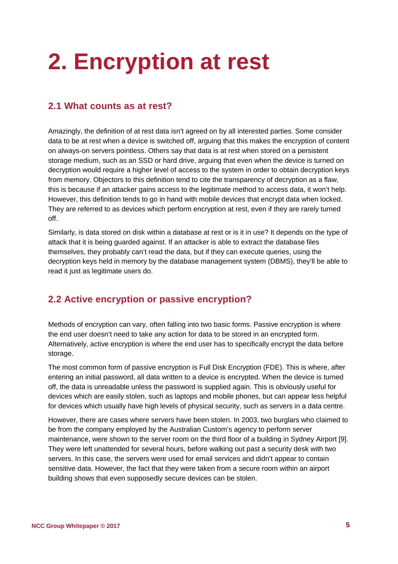## <span id="page-4-0"></span>**2. Encryption at rest**

#### **2.1 What counts as at rest?**

Amazingly, the definition of at rest data isn't agreed on by all interested parties. Some consider data to be at rest when a device is switched off, arguing that this makes the encryption of content on always-on servers pointless. Others say that data is at rest when stored on a persistent storage medium, such as an SSD or hard drive, arguing that even when the device is turned on decryption would require a higher level of access to the system in order to obtain decryption keys from memory. Objectors to this definition tend to cite the transparency of decryption as a flaw, this is because if an attacker gains access to the legitimate method to access data, it won't help. However, this definition tends to go in hand with mobile devices that encrypt data when locked. They are referred to as devices which perform encryption at rest, even if they are rarely turned off.

Similarly, is data stored on disk within a database at rest or is it in use? It depends on the type of attack that it is being guarded against. If an attacker is able to extract the database files themselves, they probably can't read the data, but if they can execute queries, using the decryption keys held in memory by the database management system (DBMS), they'll be able to read it just as legitimate users do.

#### **2.2 Active encryption or passive encryption?**

Methods of encryption can vary, often falling into two basic forms. Passive encryption is where the end user doesn't need to take any action for data to be stored in an encrypted form. Alternatively, active encryption is where the end user has to specifically encrypt the data before storage.

The most common form of passive encryption is Full Disk Encryption (FDE). This is where, after entering an initial password, all data written to a device is encrypted. When the device is turned off, the data is unreadable unless the password is supplied again. This is obviously useful for devices which are easily stolen, such as laptops and mobile phones, but can appear less helpful for devices which usually have high levels of physical security, such as servers in a data centre.

However, there are cases where servers have been stolen. In 2003, two burglars who claimed to be from the company employed by the Australian Custom's agency to perform server maintenance, were shown to the server room on the third floor of a building in Sydney Airport [9]. They were left unattended for several hours, before walking out past a security desk with two servers. In this case, the servers were used for email services and didn't appear to contain sensitive data. However, the fact that they were taken from a secure room within an airport building shows that even supposedly secure devices can be stolen.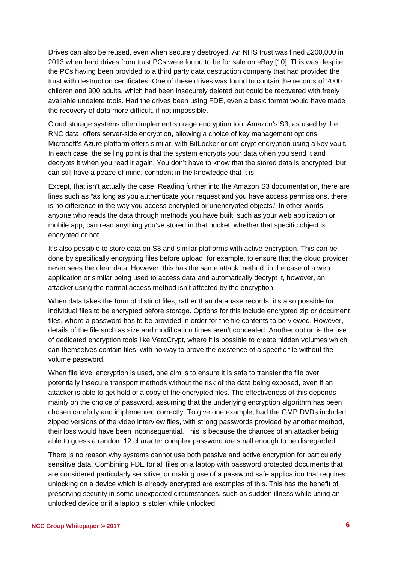Drives can also be reused, even when securely destroyed. An NHS trust was fined £200,000 in 2013 when hard drives from trust PCs were found to be for sale on eBay [10]. This was despite the PCs having been provided to a third party data destruction company that had provided the trust with destruction certificates. One of these drives was found to contain the records of 2000 children and 900 adults, which had been insecurely deleted but could be recovered with freely available undelete tools. Had the drives been using FDE, even a basic format would have made the recovery of data more difficult, if not impossible.

Cloud storage systems often implement storage encryption too. Amazon's S3, as used by the RNC data, offers server-side encryption, allowing a choice of key management options. Microsoft's Azure platform offers similar, with BitLocker or dm-crypt encryption using a key vault. In each case, the selling point is that the system encrypts your data when you send it and decrypts it when you read it again. You don't have to know that the stored data is encrypted, but can still have a peace of mind, confident in the knowledge that it is.

Except, that isn't actually the case. Reading further into the Amazon S3 documentation, there are lines such as "as long as you authenticate your request and you have access permissions, there is no difference in the way you access encrypted or unencrypted objects." In other words, anyone who reads the data through methods you have built, such as your web application or mobile app, can read anything you've stored in that bucket, whether that specific object is encrypted or not.

It's also possible to store data on S3 and similar platforms with active encryption. This can be done by specifically encrypting files before upload, for example, to ensure that the cloud provider never sees the clear data. However, this has the same attack method, in the case of a web application or similar being used to access data and automatically decrypt it, however, an attacker using the normal access method isn't affected by the encryption.

When data takes the form of distinct files, rather than database records, it's also possible for individual files to be encrypted before storage. Options for this include encrypted zip or document files, where a password has to be provided in order for the file contents to be viewed. However, details of the file such as size and modification times aren't concealed. Another option is the use of dedicated encryption tools like VeraCrypt, where it is possible to create hidden volumes which can themselves contain files, with no way to prove the existence of a specific file without the volume password.

When file level encryption is used, one aim is to ensure it is safe to transfer the file over potentially insecure transport methods without the risk of the data being exposed, even if an attacker is able to get hold of a copy of the encrypted files. The effectiveness of this depends mainly on the choice of password, assuming that the underlying encryption algorithm has been chosen carefully and implemented correctly. To give one example, had the GMP DVDs included zipped versions of the video interview files, with strong passwords provided by another method, their loss would have been inconsequential. This is because the chances of an attacker being able to guess a random 12 character complex password are small enough to be disregarded.

There is no reason why systems cannot use both passive and active encryption for particularly sensitive data. Combining FDE for all files on a laptop with password protected documents that are considered particularly sensitive, or making use of a password safe application that requires unlocking on a device which is already encrypted are examples of this. This has the benefit of preserving security in some unexpected circumstances, such as sudden illness while using an unlocked device or if a laptop is stolen while unlocked.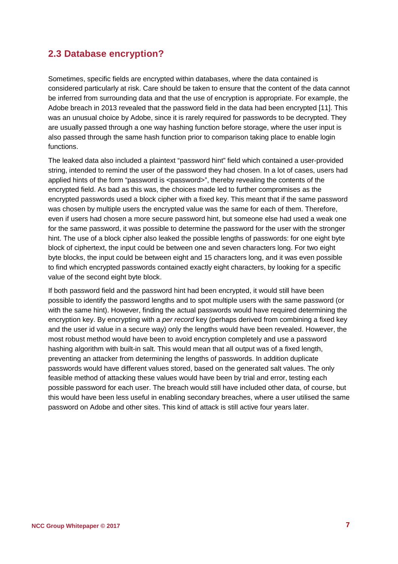#### **2.3 Database encryption?**

Sometimes, specific fields are encrypted within databases, where the data contained is considered particularly at risk. Care should be taken to ensure that the content of the data cannot be inferred from surrounding data and that the use of encryption is appropriate. For example, the Adobe breach in 2013 revealed that the password field in the data had been encrypted [11]. This was an unusual choice by Adobe, since it is rarely required for passwords to be decrypted. They are usually passed through a one way hashing function before storage, where the user input is also passed through the same hash function prior to comparison taking place to enable login functions.

The leaked data also included a plaintext "password hint" field which contained a user-provided string, intended to remind the user of the password they had chosen. In a lot of cases, users had applied hints of the form "password is <password>", thereby revealing the contents of the encrypted field. As bad as this was, the choices made led to further compromises as the encrypted passwords used a block cipher with a fixed key. This meant that if the same password was chosen by multiple users the encrypted value was the same for each of them. Therefore, even if users had chosen a more secure password hint, but someone else had used a weak one for the same password, it was possible to determine the password for the user with the stronger hint. The use of a block cipher also leaked the possible lengths of passwords: for one eight byte block of ciphertext, the input could be between one and seven characters long. For two eight byte blocks, the input could be between eight and 15 characters long, and it was even possible to find which encrypted passwords contained exactly eight characters, by looking for a specific value of the second eight byte block.

If both password field and the password hint had been encrypted, it would still have been possible to identify the password lengths and to spot multiple users with the same password (or with the same hint). However, finding the actual passwords would have required determining the encryption key. By encrypting with a *per record* key (perhaps derived from combining a fixed key and the user id value in a secure way) only the lengths would have been revealed. However, the most robust method would have been to avoid encryption completely and use a password hashing algorithm with built-in salt. This would mean that all output was of a fixed length, preventing an attacker from determining the lengths of passwords. In addition duplicate passwords would have different values stored, based on the generated salt values. The only feasible method of attacking these values would have been by trial and error, testing each possible password for each user. The breach would still have included other data, of course, but this would have been less useful in enabling secondary breaches, where a user utilised the same password on Adobe and other sites. This kind of attack is still active four years later.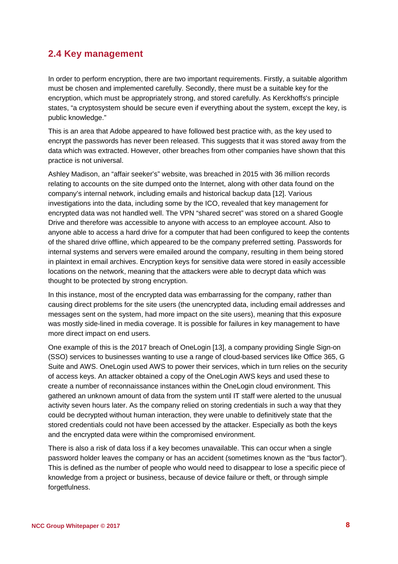#### **2.4 Key management**

In order to perform encryption, there are two important requirements. Firstly, a suitable algorithm must be chosen and implemented carefully. Secondly, there must be a suitable key for the encryption, which must be appropriately strong, and stored carefully. As Kerckhoffs's principle states, "a cryptosystem should be secure even if everything about the system, except the key, is public knowledge."

This is an area that Adobe appeared to have followed best practice with, as the key used to encrypt the passwords has never been released. This suggests that it was stored away from the data which was extracted. However, other breaches from other companies have shown that this practice is not universal.

Ashley Madison, an "affair seeker's" website, was breached in 2015 with 36 million records relating to accounts on the site dumped onto the Internet, along with other data found on the company's internal network, including emails and historical backup data [12]. Various investigations into the data, including some by the ICO, revealed that key management for encrypted data was not handled well. The VPN "shared secret" was stored on a shared Google Drive and therefore was accessible to anyone with access to an employee account. Also to anyone able to access a hard drive for a computer that had been configured to keep the contents of the shared drive offline, which appeared to be the company preferred setting. Passwords for internal systems and servers were emailed around the company, resulting in them being stored in plaintext in email archives. Encryption keys for sensitive data were stored in easily accessible locations on the network, meaning that the attackers were able to decrypt data which was thought to be protected by strong encryption.

In this instance, most of the encrypted data was embarrassing for the company, rather than causing direct problems for the site users (the unencrypted data, including email addresses and messages sent on the system, had more impact on the site users), meaning that this exposure was mostly side-lined in media coverage. It is possible for failures in key management to have more direct impact on end users.

One example of this is the 2017 breach of OneLogin [13], a company providing Single Sign-on (SSO) services to businesses wanting to use a range of cloud-based services like Office 365, G Suite and AWS. OneLogin used AWS to power their services, which in turn relies on the security of access keys. An attacker obtained a copy of the OneLogin AWS keys and used these to create a number of reconnaissance instances within the OneLogin cloud environment. This gathered an unknown amount of data from the system until IT staff were alerted to the unusual activity seven hours later. As the company relied on storing credentials in such a way that they could be decrypted without human interaction, they were unable to definitively state that the stored credentials could not have been accessed by the attacker. Especially as both the keys and the encrypted data were within the compromised environment.

There is also a risk of data loss if a key becomes unavailable. This can occur when a single password holder leaves the company or has an accident (sometimes known as the "bus factor"). This is defined as the number of people who would need to disappear to lose a specific piece of knowledge from a project or business, because of device failure or theft, or through simple forgetfulness.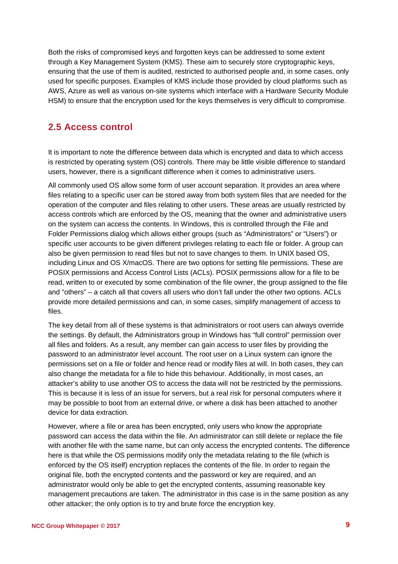Both the risks of compromised keys and forgotten keys can be addressed to some extent through a Key Management System (KMS). These aim to securely store cryptographic keys, ensuring that the use of them is audited, restricted to authorised people and, in some cases, only used for specific purposes. Examples of KMS include those provided by cloud platforms such as AWS, Azure as well as various on-site systems which interface with a Hardware Security Module HSM) to ensure that the encryption used for the keys themselves is very difficult to compromise.

#### **2.5 Access control**

It is important to note the difference between data which is encrypted and data to which access is restricted by operating system (OS) controls. There may be little visible difference to standard users, however, there is a significant difference when it comes to administrative users.

All commonly used OS allow some form of user account separation. It provides an area where files relating to a specific user can be stored away from both system files that are needed for the operation of the computer and files relating to other users. These areas are usually restricted by access controls which are enforced by the OS, meaning that the owner and administrative users on the system can access the contents. In Windows, this is controlled through the File and Folder Permissions dialog which allows either groups (such as "Administrators" or "Users") or specific user accounts to be given different privileges relating to each file or folder. A group can also be given permission to read files but not to save changes to them. In UNIX based OS, including Linux and OS X/macOS. There are two options for setting file permissions. These are POSIX permissions and Access Control Lists (ACLs). POSIX permissions allow for a file to be read, written to or executed by some combination of the file owner, the group assigned to the file and "others" – a catch all that covers all users who don't fall under the other two options. ACLs provide more detailed permissions and can, in some cases, simplify management of access to files.

The key detail from all of these systems is that administrators or root users can always override the settings. By default, the Administrators group in Windows has "full control" permission over all files and folders. As a result, any member can gain access to user files by providing the password to an administrator level account. The root user on a Linux system can ignore the permissions set on a file or folder and hence read or modify files at will. In both cases, they can also change the metadata for a file to hide this behaviour. Additionally, in most cases, an attacker's ability to use another OS to access the data will not be restricted by the permissions. This is because it is less of an issue for servers, but a real risk for personal computers where it may be possible to boot from an external drive, or where a disk has been attached to another device for data extraction.

However, where a file or area has been encrypted, only users who know the appropriate password can access the data within the file. An administrator can still delete or replace the file with another file with the same name, but can only access the encrypted contents. The difference here is that while the OS permissions modify only the metadata relating to the file (which is enforced by the OS itself) encryption replaces the contents of the file. In order to regain the original file, both the encrypted contents and the password or key are required, and an administrator would only be able to get the encrypted contents, assuming reasonable key management precautions are taken. The administrator in this case is in the same position as any other attacker; the only option is to try and brute force the encryption key.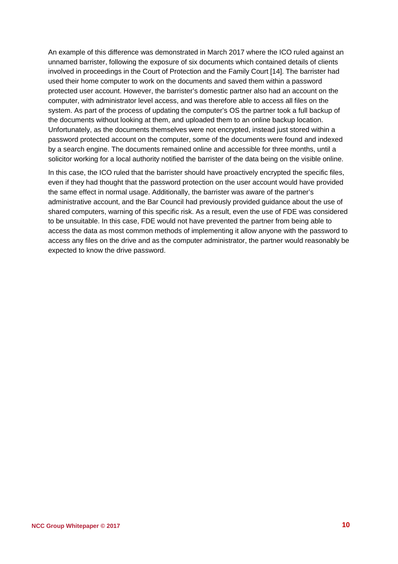An example of this difference was demonstrated in March 2017 where the ICO ruled against an unnamed barrister, following the exposure of six documents which contained details of clients involved in proceedings in the Court of Protection and the Family Court [14]. The barrister had used their home computer to work on the documents and saved them within a password protected user account. However, the barrister's domestic partner also had an account on the computer, with administrator level access, and was therefore able to access all files on the system. As part of the process of updating the computer's OS the partner took a full backup of the documents without looking at them, and uploaded them to an online backup location. Unfortunately, as the documents themselves were not encrypted, instead just stored within a password protected account on the computer, some of the documents were found and indexed by a search engine. The documents remained online and accessible for three months, until a solicitor working for a local authority notified the barrister of the data being on the visible online.

In this case, the ICO ruled that the barrister should have proactively encrypted the specific files, even if they had thought that the password protection on the user account would have provided the same effect in normal usage. Additionally, the barrister was aware of the partner's administrative account, and the Bar Council had previously provided guidance about the use of shared computers, warning of this specific risk. As a result, even the use of FDE was considered to be unsuitable. In this case, FDE would not have prevented the partner from being able to access the data as most common methods of implementing it allow anyone with the password to access any files on the drive and as the computer administrator, the partner would reasonably be expected to know the drive password.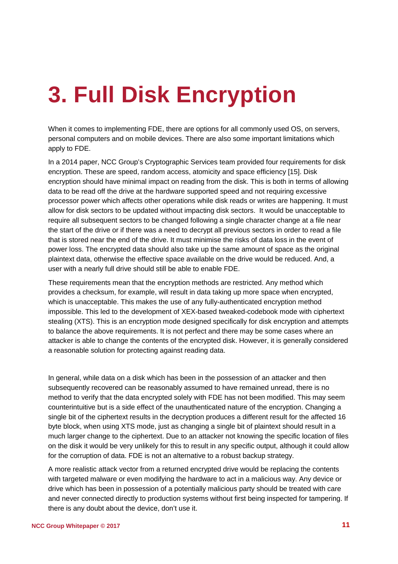## <span id="page-10-0"></span>**3. Full Disk Encryption**

When it comes to implementing FDE, there are options for all commonly used OS, on servers, personal computers and on mobile devices. There are also some important limitations which apply to FDE.

In a 2014 paper, NCC Group's Cryptographic Services team provided four requirements for disk encryption. These are speed, random access, atomicity and space efficiency [15]. Disk encryption should have minimal impact on reading from the disk. This is both in terms of allowing data to be read off the drive at the hardware supported speed and not requiring excessive processor power which affects other operations while disk reads or writes are happening. It must allow for disk sectors to be updated without impacting disk sectors. It would be unacceptable to require all subsequent sectors to be changed following a single character change at a file near the start of the drive or if there was a need to decrypt all previous sectors in order to read a file that is stored near the end of the drive. It must minimise the risks of data loss in the event of power loss. The encrypted data should also take up the same amount of space as the original plaintext data, otherwise the effective space available on the drive would be reduced. And, a user with a nearly full drive should still be able to enable FDE.

These requirements mean that the encryption methods are restricted. Any method which provides a checksum, for example, will result in data taking up more space when encrypted, which is unacceptable. This makes the use of any fully-authenticated encryption method impossible. This led to the development of XEX-based tweaked-codebook mode with ciphertext stealing (XTS). This is an encryption mode designed specifically for disk encryption and attempts to balance the above requirements. It is not perfect and there may be some cases where an attacker is able to change the contents of the encrypted disk. However, it is generally considered a reasonable solution for protecting against reading data.

In general, while data on a disk which has been in the possession of an attacker and then subsequently recovered can be reasonably assumed to have remained unread, there is no method to verify that the data encrypted solely with FDE has not been modified. This may seem counterintuitive but is a side effect of the unauthenticated nature of the encryption. Changing a single bit of the ciphertext results in the decryption produces a different result for the affected 16 byte block, when using XTS mode, just as changing a single bit of plaintext should result in a much larger change to the ciphertext. Due to an attacker not knowing the specific location of files on the disk it would be very unlikely for this to result in any specific output, although it could allow for the corruption of data. FDE is not an alternative to a robust backup strategy.

A more realistic attack vector from a returned encrypted drive would be replacing the contents with targeted malware or even modifying the hardware to act in a malicious way. Any device or drive which has been in possession of a potentially malicious party should be treated with care and never connected directly to production systems without first being inspected for tampering. If there is any doubt about the device, don't use it.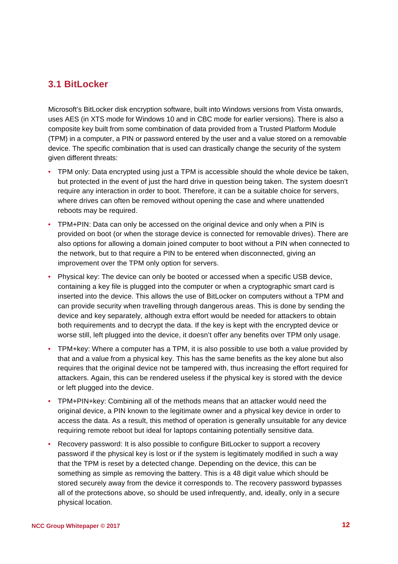#### **3.1 BitLocker**

Microsoft's BitLocker disk encryption software, built into Windows versions from Vista onwards, uses AES (in XTS mode for Windows 10 and in CBC mode for earlier versions). There is also a composite key built from some combination of data provided from a Trusted Platform Module (TPM) in a computer, a PIN or password entered by the user and a value stored on a removable device. The specific combination that is used can drastically change the security of the system given different threats:

- TPM only: Data encrypted using just a TPM is accessible should the whole device be taken, but protected in the event of just the hard drive in question being taken. The system doesn't require any interaction in order to boot. Therefore, it can be a suitable choice for servers, where drives can often be removed without opening the case and where unattended reboots may be required.
- TPM+PIN: Data can only be accessed on the original device and only when a PIN is provided on boot (or when the storage device is connected for removable drives). There are also options for allowing a domain joined computer to boot without a PIN when connected to the network, but to that require a PIN to be entered when disconnected, giving an improvement over the TPM only option for servers.
- Physical key: The device can only be booted or accessed when a specific USB device, containing a key file is plugged into the computer or when a cryptographic smart card is inserted into the device. This allows the use of BitLocker on computers without a TPM and can provide security when travelling through dangerous areas. This is done by sending the device and key separately, although extra effort would be needed for attackers to obtain both requirements and to decrypt the data. If the key is kept with the encrypted device or worse still, left plugged into the device, it doesn't offer any benefits over TPM only usage.
- TPM+key: Where a computer has a TPM, it is also possible to use both a value provided by that and a value from a physical key. This has the same benefits as the key alone but also requires that the original device not be tampered with, thus increasing the effort required for attackers. Again, this can be rendered useless if the physical key is stored with the device or left plugged into the device.
- TPM+PIN+key: Combining all of the methods means that an attacker would need the original device, a PIN known to the legitimate owner and a physical key device in order to access the data. As a result, this method of operation is generally unsuitable for any device requiring remote reboot but ideal for laptops containing potentially sensitive data.
- Recovery password: It is also possible to configure BitLocker to support a recovery password if the physical key is lost or if the system is legitimately modified in such a way that the TPM is reset by a detected change. Depending on the device, this can be something as simple as removing the battery. This is a 48 digit value which should be stored securely away from the device it corresponds to. The recovery password bypasses all of the protections above, so should be used infrequently, and, ideally, only in a secure physical location.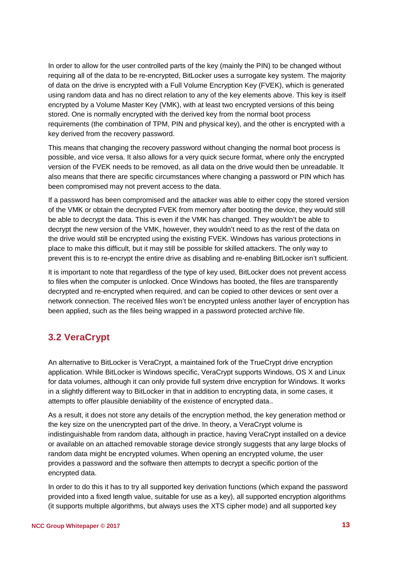In order to allow for the user controlled parts of the key (mainly the PIN) to be changed without requiring all of the data to be re-encrypted, BitLocker uses a surrogate key system. The majority of data on the drive is encrypted with a Full Volume Encryption Key (FVEK), which is generated using random data and has no direct relation to any of the key elements above. This key is itself encrypted by a Volume Master Key (VMK), with at least two encrypted versions of this being stored. One is normally encrypted with the derived key from the normal boot process requirements (the combination of TPM, PIN and physical key), and the other is encrypted with a key derived from the recovery password.

This means that changing the recovery password without changing the normal boot process is possible, and vice versa. It also allows for a very quick secure format, where only the encrypted version of the FVEK needs to be removed, as all data on the drive would then be unreadable. It also means that there are specific circumstances where changing a password or PIN which has been compromised may not prevent access to the data.

If a password has been compromised and the attacker was able to either copy the stored version of the VMK or obtain the decrypted FVEK from memory after booting the device, they would still be able to decrypt the data. This is even if the VMK has changed. They wouldn't be able to decrypt the new version of the VMK, however, they wouldn't need to as the rest of the data on the drive would still be encrypted using the existing FVEK. Windows has various protections in place to make this difficult, but it may still be possible for skilled attackers. The only way to prevent this is to re-encrypt the entire drive as disabling and re-enabling BitLocker isn't sufficient.

It is important to note that regardless of the type of key used, BitLocker does not prevent access to files when the computer is unlocked. Once Windows has booted, the files are transparently decrypted and re-encrypted when required, and can be copied to other devices or sent over a network connection. The received files won't be encrypted unless another layer of encryption has been applied, such as the files being wrapped in a password protected archive file.

#### **3.2 VeraCrypt**

An alternative to BitLocker is VeraCrypt, a maintained fork of the TrueCrypt drive encryption application. While BitLocker is Windows specific, VeraCrypt supports Windows, OS X and Linux for data volumes, although it can only provide full system drive encryption for Windows. It works in a slightly different way to BitLocker in that in addition to encrypting data, in some cases, it attempts to offer plausible deniability of the existence of encrypted data..

As a result, it does not store any details of the encryption method, the key generation method or the key size on the unencrypted part of the drive. In theory, a VeraCrypt volume is indistinguishable from random data, although in practice, having VeraCrypt installed on a device or available on an attached removable storage device strongly suggests that any large blocks of random data might be encrypted volumes. When opening an encrypted volume, the user provides a password and the software then attempts to decrypt a specific portion of the encrypted data.

In order to do this it has to try all supported key derivation functions (which expand the password provided into a fixed length value, suitable for use as a key), all supported encryption algorithms (it supports multiple algorithms, but always uses the XTS cipher mode) and all supported key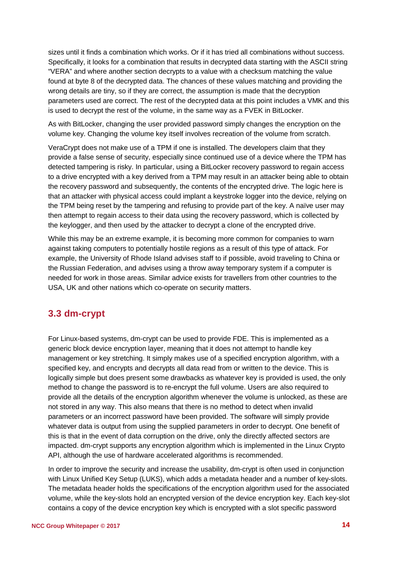sizes until it finds a combination which works. Or if it has tried all combinations without success. Specifically, it looks for a combination that results in decrypted data starting with the ASCII string "VERA" and where another section decrypts to a value with a checksum matching the value found at byte 8 of the decrypted data. The chances of these values matching and providing the wrong details are tiny, so if they are correct, the assumption is made that the decryption parameters used are correct. The rest of the decrypted data at this point includes a VMK and this is used to decrypt the rest of the volume, in the same way as a FVEK in BitLocker.

As with BitLocker, changing the user provided password simply changes the encryption on the volume key. Changing the volume key itself involves recreation of the volume from scratch.

VeraCrypt does not make use of a TPM if one is installed. The developers claim that they provide a false sense of security, especially since continued use of a device where the TPM has detected tampering is risky. In particular, using a BitLocker recovery password to regain access to a drive encrypted with a key derived from a TPM may result in an attacker being able to obtain the recovery password and subsequently, the contents of the encrypted drive. The logic here is that an attacker with physical access could implant a keystroke logger into the device, relying on the TPM being reset by the tampering and refusing to provide part of the key. A naïve user may then attempt to regain access to their data using the recovery password, which is collected by the keylogger, and then used by the attacker to decrypt a clone of the encrypted drive.

While this may be an extreme example, it is becoming more common for companies to warn against taking computers to potentially hostile regions as a result of this type of attack. For example, the University of Rhode Island advises staff to if possible, avoid traveling to China or the Russian Federation, and advises using a throw away temporary system if a computer is needed for work in those areas. Similar advice exists for travellers from other countries to the USA, UK and other nations which co-operate on security matters.

#### **3.3 dm-crypt**

For Linux-based systems, dm-crypt can be used to provide FDE. This is implemented as a generic block device encryption layer, meaning that it does not attempt to handle key management or key stretching. It simply makes use of a specified encryption algorithm, with a specified key, and encrypts and decrypts all data read from or written to the device. This is logically simple but does present some drawbacks as whatever key is provided is used, the only method to change the password is to re-encrypt the full volume. Users are also required to provide all the details of the encryption algorithm whenever the volume is unlocked, as these are not stored in any way. This also means that there is no method to detect when invalid parameters or an incorrect password have been provided. The software will simply provide whatever data is output from using the supplied parameters in order to decrypt. One benefit of this is that in the event of data corruption on the drive, only the directly affected sectors are impacted. dm-crypt supports any encryption algorithm which is implemented in the Linux Crypto API, although the use of hardware accelerated algorithms is recommended.

In order to improve the security and increase the usability, dm-crypt is often used in conjunction with Linux Unified Key Setup (LUKS), which adds a metadata header and a number of key-slots. The metadata header holds the specifications of the encryption algorithm used for the associated volume, while the key-slots hold an encrypted version of the device encryption key. Each key-slot contains a copy of the device encryption key which is encrypted with a slot specific password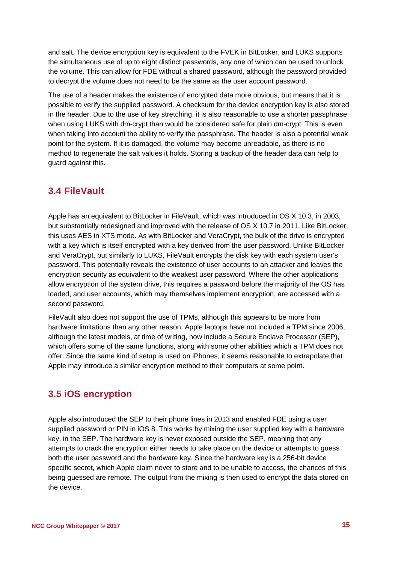and salt. The device encryption key is equivalent to the FVEK in BitLocker, and LUKS supports the simultaneous use of up to eight distinct passwords, any one of which can be used to unlock the volume. This can allow for FDE without a shared password, although the password provided to decrypt the volume does not need to be the same as the user account password.

The use of a header makes the existence of encrypted data more obvious, but means that it is possible to verify the supplied password. A checksum for the device encryption key is also stored in the header. Due to the use of key stretching, it is also reasonable to use a shorter passphrase when using LUKS with dm-crypt than would be considered safe for plain dm-crypt. This is even when taking into account the ability to verify the passphrase. The header is also a potential weak point for the system. If it is damaged, the volume may become unreadable, as there is no method to regenerate the salt values it holds. Storing a backup of the header data can help to guard against this.

#### **3.4 FileVault**

Apple has an equivalent to BitLocker in FileVault, which was introduced in OS X 10.3, in 2003, but substantially redesigned and improved with the release of OS X 10.7 in 2011. Like BitLocker, this uses AES in XTS mode. As with BitLocker and VeraCrypt, the bulk of the drive is encrypted with a key which is itself encrypted with a key derived from the user password. Unlike BitLocker and VeraCrypt, but similarly to LUKS, FileVault encrypts the disk key with each system user's password. This potentially reveals the existence of user accounts to an attacker and leaves the encryption security as equivalent to the weakest user password. Where the other applications allow encryption of the system drive, this requires a password before the majority of the OS has loaded, and user accounts, which may themselves implement encryption, are accessed with a second password.

FileVault also does not support the use of TPMs, although this appears to be more from hardware limitations than any other reason. Apple laptops have not included a TPM since 2006, although the latest models, at time of writing, now include a Secure Enclave Processor (SEP), which offers some of the same functions, along with some other abilities which a TPM does not offer. Since the same kind of setup is used on iPhones, it seems reasonable to extrapolate that Apple may introduce a similar encryption method to their computers at some point.

#### **3.5 iOS encryption**

Apple also introduced the SEP to their phone lines in 2013 and enabled FDE using a user supplied password or PIN in iOS 8. This works by mixing the user supplied key with a hardware key, in the SEP. The hardware key is never exposed outside the SEP, meaning that any attempts to crack the encryption either needs to take place on the device or attempts to guess both the user password and the hardware key. Since the hardware key is a 256-bit device specific secret, which Apple claim never to store and to be unable to access, the chances of this being guessed are remote. The output from the mixing is then used to encrypt the data stored on the device.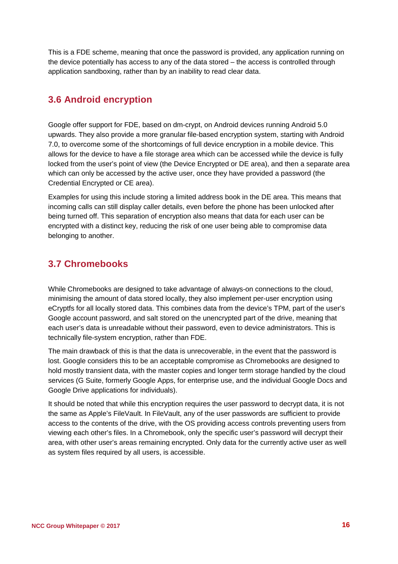This is a FDE scheme, meaning that once the password is provided, any application running on the device potentially has access to any of the data stored – the access is controlled through application sandboxing, rather than by an inability to read clear data.

#### **3.6 Android encryption**

Google offer support for FDE, based on dm-crypt, on Android devices running Android 5.0 upwards. They also provide a more granular file-based encryption system, starting with Android 7.0, to overcome some of the shortcomings of full device encryption in a mobile device. This allows for the device to have a file storage area which can be accessed while the device is fully locked from the user's point of view (the Device Encrypted or DE area), and then a separate area which can only be accessed by the active user, once they have provided a password (the Credential Encrypted or CE area).

Examples for using this include storing a limited address book in the DE area. This means that incoming calls can still display caller details, even before the phone has been unlocked after being turned off. This separation of encryption also means that data for each user can be encrypted with a distinct key, reducing the risk of one user being able to compromise data belonging to another.

#### **3.7 Chromebooks**

While Chromebooks are designed to take advantage of always-on connections to the cloud, minimising the amount of data stored locally, they also implement per-user encryption using eCryptfs for all locally stored data. This combines data from the device's TPM, part of the user's Google account password, and salt stored on the unencrypted part of the drive, meaning that each user's data is unreadable without their password, even to device administrators. This is technically file-system encryption, rather than FDE.

The main drawback of this is that the data is unrecoverable, in the event that the password is lost. Google considers this to be an acceptable compromise as Chromebooks are designed to hold mostly transient data, with the master copies and longer term storage handled by the cloud services (G Suite, formerly Google Apps, for enterprise use, and the individual Google Docs and Google Drive applications for individuals).

It should be noted that while this encryption requires the user password to decrypt data, it is not the same as Apple's FileVault. In FileVault, any of the user passwords are sufficient to provide access to the contents of the drive, with the OS providing access controls preventing users from viewing each other's files. In a Chromebook, only the specific user's password will decrypt their area, with other user's areas remaining encrypted. Only data for the currently active user as well as system files required by all users, is accessible.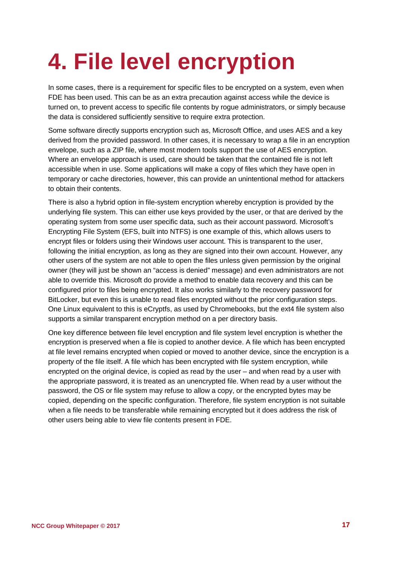## **4. File level encryption**

In some cases, there is a requirement for specific files to be encrypted on a system, even when FDE has been used. This can be as an extra precaution against access while the device is turned on, to prevent access to specific file contents by rogue administrators, or simply because the data is considered sufficiently sensitive to require extra protection.

Some software directly supports encryption such as, Microsoft Office, and uses AES and a key derived from the provided password. In other cases, it is necessary to wrap a file in an encryption envelope, such as a ZIP file, where most modern tools support the use of AES encryption. Where an envelope approach is used, care should be taken that the contained file is not left accessible when in use. Some applications will make a copy of files which they have open in temporary or cache directories, however, this can provide an unintentional method for attackers to obtain their contents.

There is also a hybrid option in file-system encryption whereby encryption is provided by the underlying file system. This can either use keys provided by the user, or that are derived by the operating system from some user specific data, such as their account password. Microsoft's Encrypting File System (EFS, built into NTFS) is one example of this, which allows users to encrypt files or folders using their Windows user account. This is transparent to the user, following the initial encryption, as long as they are signed into their own account. However, any other users of the system are not able to open the files unless given permission by the original owner (they will just be shown an "access is denied" message) and even administrators are not able to override this. Microsoft do provide a method to enable data recovery and this can be configured prior to files being encrypted. It also works similarly to the recovery password for BitLocker, but even this is unable to read files encrypted without the prior configuration steps. One Linux equivalent to this is eCryptfs, as used by Chromebooks, but the ext4 file system also supports a similar transparent encryption method on a per directory basis.

One key difference between file level encryption and file system level encryption is whether the encryption is preserved when a file is copied to another device. A file which has been encrypted at file level remains encrypted when copied or moved to another device, since the encryption is a property of the file itself. A file which has been encrypted with file system encryption, while encrypted on the original device, is copied as read by the user – and when read by a user with the appropriate password, it is treated as an unencrypted file. When read by a user without the password, the OS or file system may refuse to allow a copy, or the encrypted bytes may be copied, depending on the specific configuration. Therefore, file system encryption is not suitable when a file needs to be transferable while remaining encrypted but it does address the risk of other users being able to view file contents present in FDE.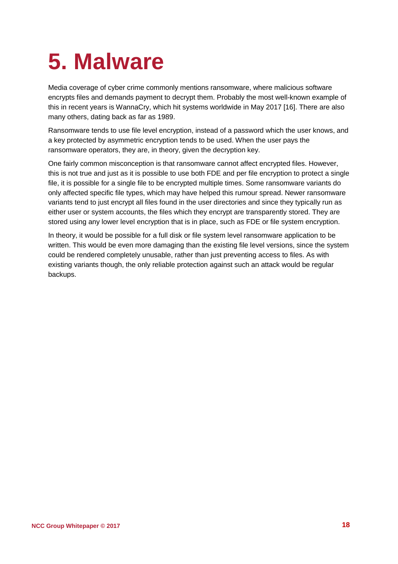## <span id="page-17-0"></span>**5. Malware**

Media coverage of cyber crime commonly mentions ransomware, where malicious software encrypts files and demands payment to decrypt them. Probably the most well-known example of this in recent years is WannaCry, which hit systems worldwide in May 2017 [16]. There are also many others, dating back as far as 1989.

Ransomware tends to use file level encryption, instead of a password which the user knows, and a key protected by asymmetric encryption tends to be used. When the user pays the ransomware operators, they are, in theory, given the decryption key.

One fairly common misconception is that ransomware cannot affect encrypted files. However, this is not true and just as it is possible to use both FDE and per file encryption to protect a single file, it is possible for a single file to be encrypted multiple times. Some ransomware variants do only affected specific file types, which may have helped this rumour spread. Newer ransomware variants tend to just encrypt all files found in the user directories and since they typically run as either user or system accounts, the files which they encrypt are transparently stored. They are stored using any lower level encryption that is in place, such as FDE or file system encryption.

In theory, it would be possible for a full disk or file system level ransomware application to be written. This would be even more damaging than the existing file level versions, since the system could be rendered completely unusable, rather than just preventing access to files. As with existing variants though, the only reliable protection against such an attack would be regular backups.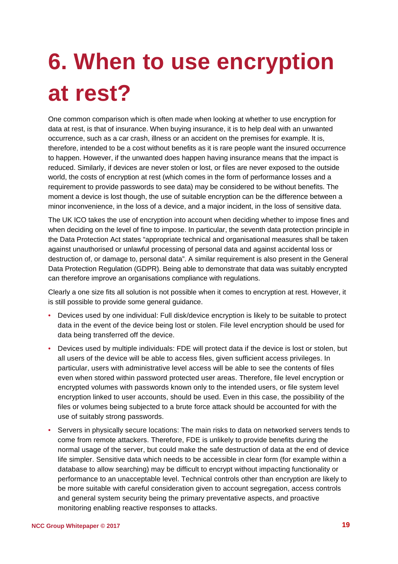# <span id="page-18-0"></span>**6. When to use encryption at rest?**

One common comparison which is often made when looking at whether to use encryption for data at rest, is that of insurance. When buying insurance, it is to help deal with an unwanted occurrence, such as a car crash, illness or an accident on the premises for example. It is, therefore, intended to be a cost without benefits as it is rare people want the insured occurrence to happen. However, if the unwanted does happen having insurance means that the impact is reduced. Similarly, if devices are never stolen or lost, or files are never exposed to the outside world, the costs of encryption at rest (which comes in the form of performance losses and a requirement to provide passwords to see data) may be considered to be without benefits. The moment a device is lost though, the use of suitable encryption can be the difference between a minor inconvenience, in the loss of a device, and a major incident, in the loss of sensitive data.

The UK ICO takes the use of encryption into account when deciding whether to impose fines and when deciding on the level of fine to impose. In particular, the seventh data protection principle in the Data Protection Act states "appropriate technical and organisational measures shall be taken against unauthorised or unlawful processing of personal data and against accidental loss or destruction of, or damage to, personal data". A similar requirement is also present in the General Data Protection Regulation (GDPR). Being able to demonstrate that data was suitably encrypted can therefore improve an organisations compliance with regulations.

Clearly a one size fits all solution is not possible when it comes to encryption at rest. However, it is still possible to provide some general guidance.

- Devices used by one individual: Full disk/device encryption is likely to be suitable to protect data in the event of the device being lost or stolen. File level encryption should be used for data being transferred off the device.
- Devices used by multiple individuals: FDE will protect data if the device is lost or stolen, but all users of the device will be able to access files, given sufficient access privileges. In particular, users with administrative level access will be able to see the contents of files even when stored within password protected user areas. Therefore, file level encryption or encrypted volumes with passwords known only to the intended users, or file system level encryption linked to user accounts, should be used. Even in this case, the possibility of the files or volumes being subjected to a brute force attack should be accounted for with the use of suitably strong passwords.
- Servers in physically secure locations: The main risks to data on networked servers tends to come from remote attackers. Therefore, FDE is unlikely to provide benefits during the normal usage of the server, but could make the safe destruction of data at the end of device life simpler. Sensitive data which needs to be accessible in clear form (for example within a database to allow searching) may be difficult to encrypt without impacting functionality or performance to an unacceptable level. Technical controls other than encryption are likely to be more suitable with careful consideration given to account segregation, access controls and general system security being the primary preventative aspects, and proactive monitoring enabling reactive responses to attacks.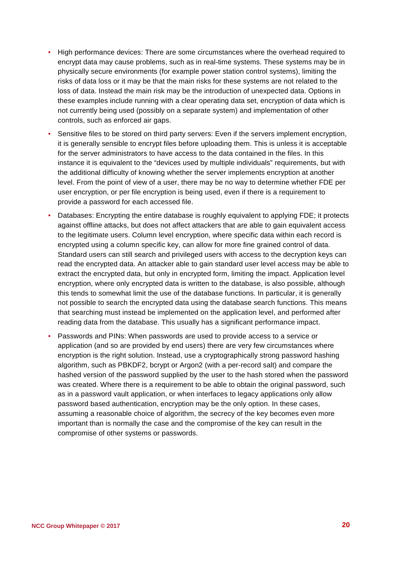- High performance devices: There are some circumstances where the overhead required to encrypt data may cause problems, such as in real-time systems. These systems may be in physically secure environments (for example power station control systems), limiting the risks of data loss or it may be that the main risks for these systems are not related to the loss of data. Instead the main risk may be the introduction of unexpected data. Options in these examples include running with a clear operating data set, encryption of data which is not currently being used (possibly on a separate system) and implementation of other controls, such as enforced air gaps.
- Sensitive files to be stored on third party servers: Even if the servers implement encryption, it is generally sensible to encrypt files before uploading them. This is unless it is acceptable for the server administrators to have access to the data contained in the files. In this instance it is equivalent to the "devices used by multiple individuals" requirements, but with the additional difficulty of knowing whether the server implements encryption at another level. From the point of view of a user, there may be no way to determine whether FDE per user encryption, or per file encryption is being used, even if there is a requirement to provide a password for each accessed file.
- Databases: Encrypting the entire database is roughly equivalent to applying FDE; it protects against offline attacks, but does not affect attackers that are able to gain equivalent access to the legitimate users. Column level encryption, where specific data within each record is encrypted using a column specific key, can allow for more fine grained control of data. Standard users can still search and privileged users with access to the decryption keys can read the encrypted data. An attacker able to gain standard user level access may be able to extract the encrypted data, but only in encrypted form, limiting the impact. Application level encryption, where only encrypted data is written to the database, is also possible, although this tends to somewhat limit the use of the database functions. In particular, it is generally not possible to search the encrypted data using the database search functions. This means that searching must instead be implemented on the application level, and performed after reading data from the database. This usually has a significant performance impact.
- Passwords and PINs: When passwords are used to provide access to a service or application (and so are provided by end users) there are very few circumstances where encryption is the right solution. Instead, use a cryptographically strong password hashing algorithm, such as PBKDF2, bcrypt or Argon2 (with a per-record salt) and compare the hashed version of the password supplied by the user to the hash stored when the password was created. Where there is a requirement to be able to obtain the original password, such as in a password vault application, or when interfaces to legacy applications only allow password based authentication, encryption may be the only option. In these cases, assuming a reasonable choice of algorithm, the secrecy of the key becomes even more important than is normally the case and the compromise of the key can result in the compromise of other systems or passwords.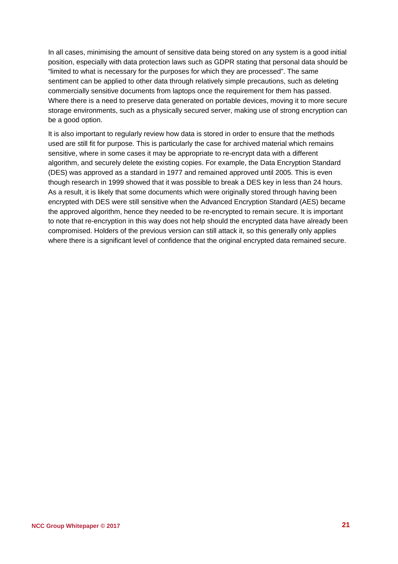In all cases, minimising the amount of sensitive data being stored on any system is a good initial position, especially with data protection laws such as GDPR stating that personal data should be "limited to what is necessary for the purposes for which they are processed". The same sentiment can be applied to other data through relatively simple precautions, such as deleting commercially sensitive documents from laptops once the requirement for them has passed. Where there is a need to preserve data generated on portable devices, moving it to more secure storage environments, such as a physically secured server, making use of strong encryption can be a good option.

It is also important to regularly review how data is stored in order to ensure that the methods used are still fit for purpose. This is particularly the case for archived material which remains sensitive, where in some cases it may be appropriate to re-encrypt data with a different algorithm, and securely delete the existing copies. For example, the Data Encryption Standard (DES) was approved as a standard in 1977 and remained approved until 2005. This is even though research in 1999 showed that it was possible to break a DES key in less than 24 hours. As a result, it is likely that some documents which were originally stored through having been encrypted with DES were still sensitive when the Advanced Encryption Standard (AES) became the approved algorithm, hence they needed to be re-encrypted to remain secure. It is important to note that re-encryption in this way does not help should the encrypted data have already been compromised. Holders of the previous version can still attack it, so this generally only applies where there is a significant level of confidence that the original encrypted data remained secure.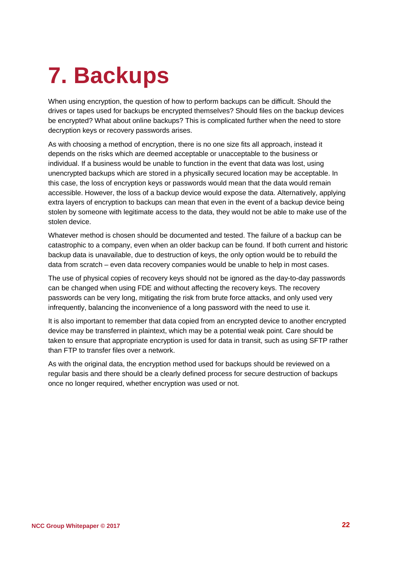## <span id="page-21-0"></span>**7. Backups**

When using encryption, the question of how to perform backups can be difficult. Should the drives or tapes used for backups be encrypted themselves? Should files on the backup devices be encrypted? What about online backups? This is complicated further when the need to store decryption keys or recovery passwords arises.

As with choosing a method of encryption, there is no one size fits all approach, instead it depends on the risks which are deemed acceptable or unacceptable to the business or individual. If a business would be unable to function in the event that data was lost, using unencrypted backups which are stored in a physically secured location may be acceptable. In this case, the loss of encryption keys or passwords would mean that the data would remain accessible. However, the loss of a backup device would expose the data. Alternatively, applying extra layers of encryption to backups can mean that even in the event of a backup device being stolen by someone with legitimate access to the data, they would not be able to make use of the stolen device.

Whatever method is chosen should be documented and tested. The failure of a backup can be catastrophic to a company, even when an older backup can be found. If both current and historic backup data is unavailable, due to destruction of keys, the only option would be to rebuild the data from scratch – even data recovery companies would be unable to help in most cases.

The use of physical copies of recovery keys should not be ignored as the day-to-day passwords can be changed when using FDE and without affecting the recovery keys. The recovery passwords can be very long, mitigating the risk from brute force attacks, and only used very infrequently, balancing the inconvenience of a long password with the need to use it.

It is also important to remember that data copied from an encrypted device to another encrypted device may be transferred in plaintext, which may be a potential weak point. Care should be taken to ensure that appropriate encryption is used for data in transit, such as using SFTP rather than FTP to transfer files over a network.

As with the original data, the encryption method used for backups should be reviewed on a regular basis and there should be a clearly defined process for secure destruction of backups once no longer required, whether encryption was used or not.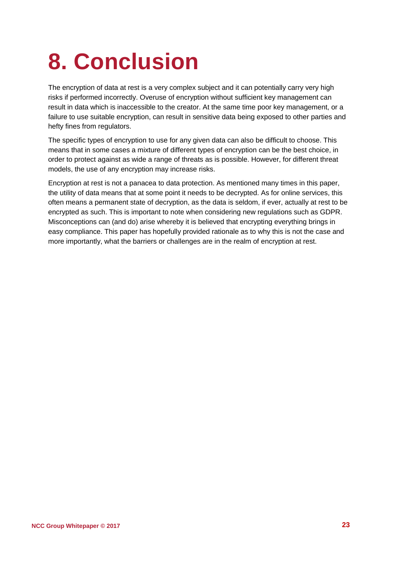## <span id="page-22-0"></span>**8. Conclusion**

The encryption of data at rest is a very complex subject and it can potentially carry very high risks if performed incorrectly. Overuse of encryption without sufficient key management can result in data which is inaccessible to the creator. At the same time poor key management, or a failure to use suitable encryption, can result in sensitive data being exposed to other parties and hefty fines from regulators.

The specific types of encryption to use for any given data can also be difficult to choose. This means that in some cases a mixture of different types of encryption can be the best choice, in order to protect against as wide a range of threats as is possible. However, for different threat models, the use of any encryption may increase risks.

Encryption at rest is not a panacea to data protection. As mentioned many times in this paper, the utility of data means that at some point it needs to be decrypted. As for online services, this often means a permanent state of decryption, as the data is seldom, if ever, actually at rest to be encrypted as such. This is important to note when considering new regulations such as GDPR. Misconceptions can (and do) arise whereby it is believed that encrypting everything brings in easy compliance. This paper has hopefully provided rationale as to why this is not the case and more importantly, what the barriers or challenges are in the realm of encryption at rest.